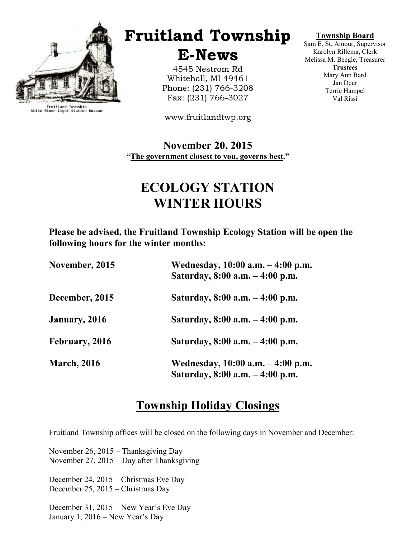

Fruitland Township<br>White River Light Station Museum

# Fruitland Township

E-News

4545 Nestrom Rd Whitehall, MI 49461 Phone: (231) 766-3208 Fax: (231) 766-3027

www.fruitlandtwp.org

November 20, 2015 "The government closest to you, governs best."

# ECOLOGY STATION WINTER HOURS

Please be advised, the Fruitland Township Ecology Station will be open the following hours for the winter months:

| November, 2015     | Wednesday, 10:00 a.m. - 4:00 p.m.<br>Saturday, 8:00 a.m. - 4:00 p.m. |
|--------------------|----------------------------------------------------------------------|
| December, 2015     | Saturday, 8:00 a.m. – 4:00 p.m.                                      |
| January, 2016      | Saturday, 8:00 a.m. – 4:00 p.m.                                      |
| February, 2016     | Saturday, $8:00$ a.m. $-4:00$ p.m.                                   |
| <b>March, 2016</b> | Wednesday, 10:00 a.m. – 4:00 p.m.<br>Saturday, 8:00 a.m. - 4:00 p.m. |

## Township Holiday Closings

Fruitland Township offices will be closed on the following days in November and December:

November 26, 2015 – Thanksgiving Day November 27, 2015 – Day after Thanksgiving

December 24, 2015 – Christmas Eve Day December 25, 2015 – Christmas Day

December 31, 2015 – New Year's Eve Day January 1, 2016 – New Year's Day

#### Township Board

Sam E. St. Amour, Supervisor Karolyn Rillema, Clerk Melissa M. Beegle, Treasurer **Trustees** Mary Ann Bard Jan Deur Terrie Hampel Val Rissi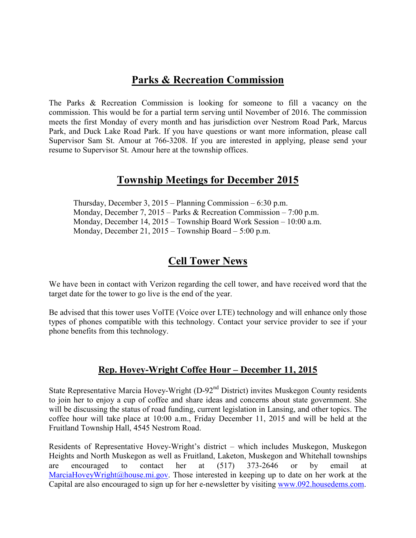## Parks & Recreation Commission

The Parks & Recreation Commission is looking for someone to fill a vacancy on the commission. This would be for a partial term serving until November of 2016. The commission meets the first Monday of every month and has jurisdiction over Nestrom Road Park, Marcus Park, and Duck Lake Road Park. If you have questions or want more information, please call Supervisor Sam St. Amour at 766-3208. If you are interested in applying, please send your resume to Supervisor St. Amour here at the township offices.

## Township Meetings for December 2015

 Thursday, December 3, 2015 – Planning Commission – 6:30 p.m. Monday, December 7, 2015 – Parks & Recreation Commission – 7:00 p.m. Monday, December 14, 2015 – Township Board Work Session – 10:00 a.m. Monday, December 21, 2015 – Township Board – 5:00 p.m.

## Cell Tower News

We have been in contact with Verizon regarding the cell tower, and have received word that the target date for the tower to go live is the end of the year.

Be advised that this tower uses VolTE (Voice over LTE) technology and will enhance only those types of phones compatible with this technology. Contact your service provider to see if your phone benefits from this technology.

### Rep. Hovey-Wright Coffee Hour – December 11, 2015

State Representative Marcia Hovey-Wright (D-92<sup>nd</sup> District) invites Muskegon County residents to join her to enjoy a cup of coffee and share ideas and concerns about state government. She will be discussing the status of road funding, current legislation in Lansing, and other topics. The coffee hour will take place at 10:00 a.m., Friday December 11, 2015 and will be held at the Fruitland Township Hall, 4545 Nestrom Road.

Residents of Representative Hovey-Wright's district – which includes Muskegon, Muskegon Heights and North Muskegon as well as Fruitland, Laketon, Muskegon and Whitehall townships are encouraged to contact her at (517) 373-2646 or by email at MarciaHoveyWright@house.mi.gov. Those interested in keeping up to date on her work at the Capital are also encouraged to sign up for her e-newsletter by visiting www.092.housedems.com.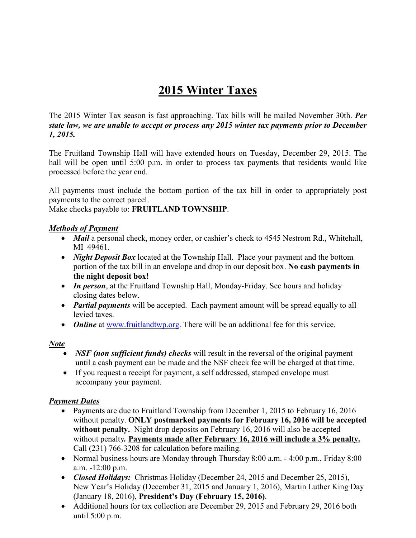## 2015 Winter Taxes

The 2015 Winter Tax season is fast approaching. Tax bills will be mailed November 30th. Per state law, we are unable to accept or process any 2015 winter tax payments prior to December 1, 2015.

The Fruitland Township Hall will have extended hours on Tuesday, December 29, 2015. The hall will be open until 5:00 p.m. in order to process tax payments that residents would like processed before the year end.

All payments must include the bottom portion of the tax bill in order to appropriately post payments to the correct parcel.

Make checks payable to: FRUITLAND TOWNSHIP.

#### Methods of Payment

- *Mail* a personal check, money order, or cashier's check to 4545 Nestrom Rd., Whitehall, MI 49461.
- *Night Deposit Box* located at the Township Hall. Place your payment and the bottom portion of the tax bill in an envelope and drop in our deposit box. No cash payments in the night deposit box!
- In person, at the Fruitland Township Hall, Monday-Friday. See hours and holiday closing dates below.
- *Partial payments* will be accepted. Each payment amount will be spread equally to all levied taxes.
- *Online* at www.fruitlandtwp.org. There will be an additional fee for this service.

#### N<u>ote</u>

- *NSF (non sufficient funds) checks* will result in the reversal of the original payment until a cash payment can be made and the NSF check fee will be charged at that time.
- If you request a receipt for payment, a self addressed, stamped envelope must accompany your payment.

### Payment Dates

- Payments are due to Fruitland Township from December 1, 2015 to February 16, 2016 without penalty. ONLY postmarked payments for February 16, 2016 will be accepted without penalty. Night drop deposits on February 16, 2016 will also be accepted without penalty. Payments made after February 16, 2016 will include a 3% penalty. Call (231) 766-3208 for calculation before mailing.
- Normal business hours are Monday through Thursday 8:00 a.m. 4:00 p.m., Friday 8:00 a.m. -12:00 p.m.
- Closed Holidays: Christmas Holiday (December 24, 2015 and December 25, 2015), New Year's Holiday (December 31, 2015 and January 1, 2016), Martin Luther King Day (January 18, 2016), President's Day (February 15, 2016).
- Additional hours for tax collection are December 29, 2015 and February 29, 2016 both until 5:00 p.m.